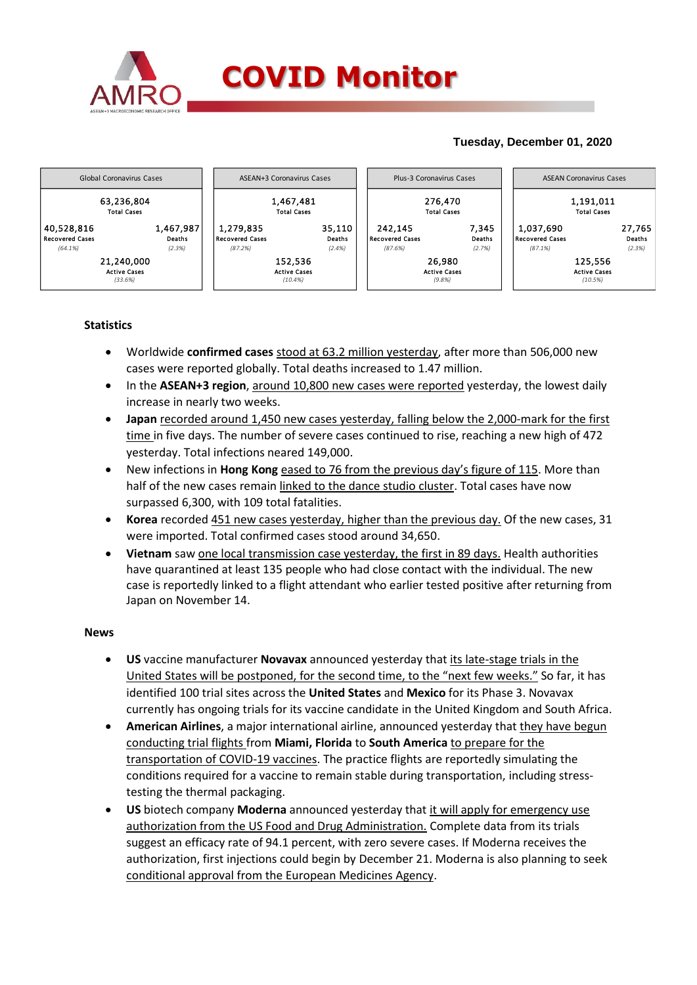

## **Tuesday, December 01, 2020**



### **Statistics**

- Worldwide **confirmed cases** stood at 63.2 million yesterday, after more than 506,000 new cases were reported globally. Total deaths increased to 1.47 million.
- In the **ASEAN+3 region**, around 10,800 new cases were reported yesterday, the lowest daily increase in nearly two weeks.
- **Japan** recorded around 1,450 new cases yesterday, falling below the 2,000-mark for the first time in five days. The number of severe cases continued to rise, reaching a new high of 472 yesterday. Total infections neared 149,000.
- New infections in **Hong Kong** eased to 76 from the previous day's figure of 115. More than half of the new cases remain linked to the dance studio cluster. Total cases have now surpassed 6,300, with 109 total fatalities.
- **Korea** recorded 451 new cases yesterday, higher than the previous day. Of the new cases, 31 were imported. Total confirmed cases stood around 34,650.
- **Vietnam** saw one local transmission case yesterday, the first in 89 days. Health authorities have quarantined at least 135 people who had close contact with the individual. The new case is reportedly linked to a flight attendant who earlier tested positive after returning from Japan on November 14.

#### **News**

- **US** vaccine manufacturer **Novavax** announced yesterday that its late-stage trials in the United States will be postponed, for the second time, to the "next few weeks." So far, it has identified 100 trial sites across the **United States** and **Mexico** for its Phase 3. Novavax currently has ongoing trials for its vaccine candidate in the United Kingdom and South Africa.
- **American Airlines**, a major international airline, announced yesterday that they have begun conducting trial flights from **Miami, Florida** to **South America** to prepare for the transportation of COVID-19 vaccines. The practice flights are reportedly simulating the conditions required for a vaccine to remain stable during transportation, including stresstesting the thermal packaging.
- **US** biotech company **Moderna** announced yesterday that it will apply for emergency use authorization from the US Food and Drug Administration. Complete data from its trials suggest an efficacy rate of 94.1 percent, with zero severe cases. If Moderna receives the authorization, first injections could begin by December 21. Moderna is also planning to seek conditional approval from the European Medicines Agency.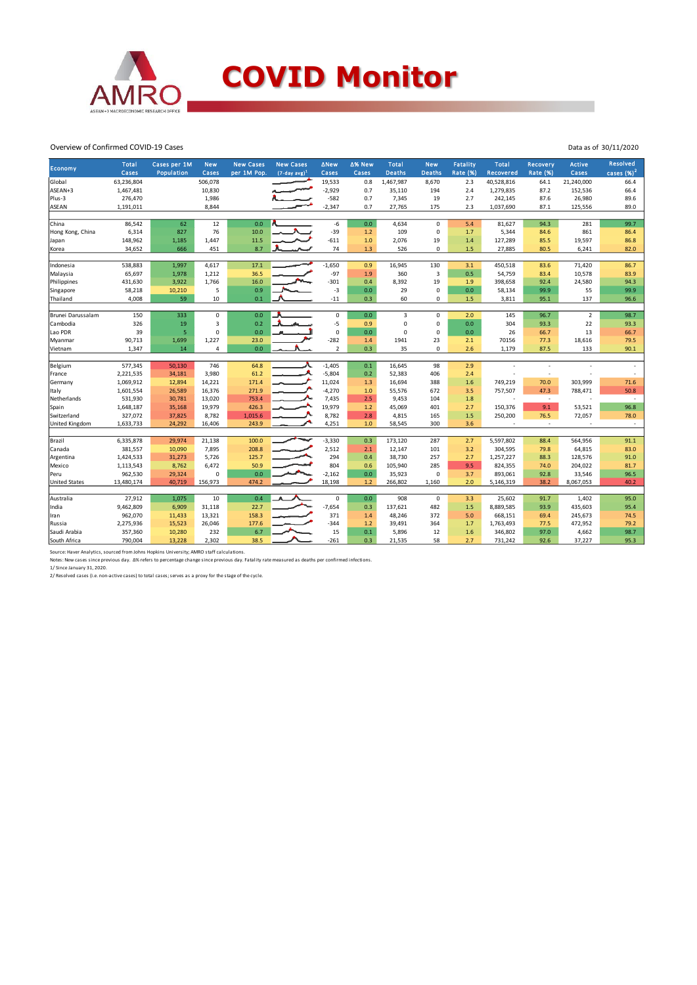

# **COVID Monitor**

Data as of 30/11/2020

#### Overview of Confirmed COVID-19 Cases

| Economy              | <b>Total</b><br>Cases | Cases per 1M<br><b>Population</b> | <b>New</b><br>Cases | <b>New Cases</b><br>per 1M Pop. | <b>New Cases</b><br>$(7$ -day avg) <sup>1</sup> | <b>ANew</b><br>Cases | ∆% New<br>Cases | Total<br><b>Deaths</b> | <b>New</b><br><b>Deaths</b> | <b>Fatality</b><br>Rate (%) | Total<br>Recovered | Recovery<br><b>Rate (%)</b> | <b>Active</b><br>Cases | Resolved<br>cases $(%)2$ |
|----------------------|-----------------------|-----------------------------------|---------------------|---------------------------------|-------------------------------------------------|----------------------|-----------------|------------------------|-----------------------------|-----------------------------|--------------------|-----------------------------|------------------------|--------------------------|
| Global               | 63,236,804            |                                   | 506,078             |                                 |                                                 | 19,533               | 0.8             | 1,467,987              | 8,670                       | 2.3                         | 40,528,816         | 64.1                        | 21,240,000             | 66.4                     |
| ASEAN+3              | 1,467,481             |                                   | 10,830              |                                 |                                                 | $-2,929$             | 0.7             | 35,110                 | 194                         | 2.4                         | 1,279,835          | 87.2                        | 152,536                | 66.4                     |
| Plus-3               | 276,470               |                                   |                     |                                 |                                                 | $-582$               | 0.7             | 7,345                  | 19                          | 2.7                         | 242,145            | 87.6                        | 26,980                 | 89.6                     |
|                      |                       |                                   | 1,986<br>8,844      |                                 |                                                 |                      |                 |                        |                             |                             | 1,037,690          |                             |                        |                          |
| <b>ASEAN</b>         | 1,191,011             |                                   |                     |                                 |                                                 | $-2,347$             | 0.7             | 27,765                 | 175                         | 2.3                         |                    | 87.1                        | 125,556                | 89.0                     |
| China                | 86,542                | 62                                | 12                  | 0.0                             |                                                 | $-6$                 | 0.0             | 4,634                  | $\Omega$                    | 5.4                         | 81,627             | 94.3                        | 281                    | 99.7                     |
| Hong Kong, China     | 6,314                 | 827                               | 76                  | 10.0                            |                                                 | $-39$                | $1.2$           | 109                    | 0                           | 1.7                         | 5,344              | 84.6                        | 861                    | 86.4                     |
| Japan                | 148,962               | 1,185                             | 1,447               | 11.5                            |                                                 | $-611$               | $1.0$           | 2,076                  | 19                          | 1.4                         | 127,289            | 85.5                        | 19,597                 | 86.8                     |
| Korea                | 34,652                | 666                               | 451                 | 8.7                             |                                                 | 74                   | 1.3             | 526                    | 0                           | 1.5                         | 27,885             | 80.5                        | 6,241                  | 82.0                     |
|                      |                       |                                   |                     |                                 |                                                 |                      |                 |                        |                             |                             |                    |                             |                        |                          |
| Indonesia            | 538,883               | 1,997                             | 4,617               | 17.1                            |                                                 | $-1,650$             | 0.9             | 16,945                 | 130                         | 3.1                         | 450,518            | 83.6                        | 71,420                 | 86.7                     |
| Malaysia             | 65,697                | 1,978                             | 1,212               | 36.5                            |                                                 | $-97$                | 1.9             | 360                    | $\overline{3}$              | 0.5                         | 54,759             | 83.4                        | 10,578                 | 83.9                     |
| Philippines          | 431,630               | 3,922                             | 1,766               | 16.0                            |                                                 | $-301$               | 0.4             | 8,392                  | 19                          | 1.9                         | 398,658            | 92.4                        | 24,580                 | 94.3                     |
| Singapore            | 58,218                | 10,210                            | 5                   | 0.9                             |                                                 | $-3$                 | 0.0             | 29                     | $\pmb{0}$                   | 0.0                         | 58,134             | 99.9                        | 55                     | 99.9                     |
| Thailand             | 4,008                 | 59                                | 10                  | 0.1                             |                                                 | $-11$                | 0.3             | 60                     | $\mathbf{0}$                | 1.5                         | 3,811              | 95.1                        | 137                    | 96.6                     |
|                      |                       |                                   |                     |                                 |                                                 |                      |                 |                        |                             |                             |                    |                             |                        |                          |
| Brunei Darussalam    | 150                   | 333                               | 0                   | 0.0                             |                                                 | 0                    | 0.0             | 3                      | $\mathbf 0$                 | 2.0                         | 145                | 96.7                        | $\overline{2}$         | 98.7                     |
| Cambodia             | 326                   | 19                                | 3                   | 0.2                             |                                                 | $-5$                 | 0.9             | $\mathbf 0$            | 0                           | 0.0                         | 304                | 93.3                        | 22                     | 93.3                     |
| Lao PDR              | 39                    | 5                                 | $\mathbf 0$         | 0.0                             |                                                 | $\mathbf 0$          | 0.0             | $\mathbf 0$            | $\mathbf 0$                 | 0.0                         | 26                 | 66.7                        | 13                     | 66.7                     |
| Myanmar              | 90,713                | 1,699                             | 1,227               | 23.0                            |                                                 | $-282$               | 1.4             | 1941                   | 23                          | 2.1                         | 70156              | 77.3                        | 18,616                 | 79.5                     |
| Vietnam              | 1,347                 | 14                                | $\overline{4}$      | 0.0                             |                                                 | $\overline{2}$       | 0.3             | 35                     | $\mathbf 0$                 | 2.6                         | 1,179              | 87.5                        | 133                    | 90.1                     |
|                      |                       |                                   |                     | 64.8                            |                                                 | $-1,405$             | 0.1             |                        |                             | 2.9                         |                    |                             |                        |                          |
| Belgium              | 577,345               | 50,130                            | 746                 |                                 |                                                 |                      |                 | 16,645                 | 98                          |                             |                    |                             |                        |                          |
| France               | 2,221,535             | 34,181                            | 3,980               | 61.2                            |                                                 | $-5,804$             | 0.2             | 52,383                 | 406                         | 2.4                         |                    |                             |                        |                          |
| Germany              | 1,069,912             | 12,894                            | 14,221              | 171.4                           |                                                 | 11,024               | 1.3             | 16,694                 | 388                         | 1.6                         | 749,219            | 70.0                        | 303,999                | 71.6                     |
| Italy                | 1,601,554             | 26,589                            | 16,376              | 271.9                           |                                                 | $-4,270$             | 1.0             | 55,576                 | 672                         | 3.5                         | 757,507            | 47.3                        | 788,471                | 50.8                     |
| Netherlands          | 531,930               | 30,781                            | 13,020              | 753.4                           |                                                 | 7,435                | 2.5             | 9,453                  | 104                         | 1.8                         | ٠                  | $\overline{\phantom{a}}$    |                        | $\sim$                   |
| Spain                | 1,648,187             | 35,168                            | 19,979              | 426.3                           |                                                 | 19,979               | $1.2$           | 45,069                 | 401                         | 2.7                         | 150,376            | 9.1                         | 53,521                 | 96.8                     |
| Switzerland          | 327,072               | 37,825                            | 8,782               | 1,015.6                         |                                                 | 8,782                | 2.8             | 4,815                  | 165                         | 1.5                         | 250,200            | 76.5                        | 72,057                 | 78.0                     |
| United Kingdom       | 1,633,733             | 24,292                            | 16,406              | 243.9                           |                                                 | 4,251                | 1.0             | 58,545                 | 300                         | 3.6                         |                    | $\sim$                      |                        | $\overline{\phantom{a}}$ |
| Brazil               | 6,335,878             | 29,974                            | 21,138              | 100.0                           |                                                 | $-3,330$             | 0.3             | 173,120                | 287                         | 2.7                         | 5,597,802          | 88.4                        | 564,956                | 91.1                     |
|                      | 381,557               | 10,090                            | 7,895               | 208.8                           |                                                 | 2,512                | 2.1             | 12,147                 | 101                         | 3.2                         | 304,595            | 79.8                        | 64,815                 | 83.0                     |
| Canada               |                       |                                   |                     |                                 |                                                 |                      |                 |                        |                             |                             |                    |                             |                        |                          |
| Argentina            | 1,424,533             | 31,273                            | 5,726               | 125.7                           |                                                 | 294                  | 0.4             | 38,730                 | 257                         | 2.7                         | 1,257,227          | 88.3                        | 128,576                | 91.0                     |
| Mexico               | 1,113,543             | 8,762                             | 6,472               | 50.9                            |                                                 | 804                  | 0.6             | 105,940                | 285                         | 9.5                         | 824,355            | 74.0                        | 204,022                | 81.7                     |
| Peru                 | 962,530               | 29,324                            | 0                   | 0.0                             |                                                 | $-2,162$             | 0.0             | 35,923                 | $\mathbf 0$                 | 3.7                         | 893,061            | 92.8                        | 33,546                 | 96.5                     |
| <b>United States</b> | 13,480,174            | 40,719                            | 156,973             | 474.2                           |                                                 | 18,198               | $1.2$           | 266,802                | 1,160                       | 2.0                         | 5,146,319          | 38.2                        | 8,067,053              | 40.2                     |
| Australia            | 27,912                | 1,075                             | 10                  | 0.4                             |                                                 | $\mathbf 0$          | 0.0             | 908                    | $\mathbf 0$                 | 3.3                         | 25,602             | 91.7                        | 1,402                  | 95.0                     |
| India                | 9,462,809             | 6,909                             | 31,118              | 22.7                            |                                                 | $-7,654$             | 0.3             | 137,621                | 482                         | 1.5                         | 8,889,585          | 93.9                        | 435,603                | 95.4                     |
|                      | 962,070               | 11,433                            | 13,321              | 158.3                           |                                                 | 371                  | 1.4             | 48,246                 | 372                         | 5.0                         | 668,151            | 69.4                        | 245,673                | 74.5                     |
| Iran                 |                       |                                   |                     |                                 |                                                 | $-344$               |                 |                        | 364                         |                             |                    |                             |                        |                          |
| Russia               | 2,275,936             | 15,523                            | 26,046              | 177.6<br>6.7                    |                                                 |                      | 1.2             | 39,491                 |                             | 1.7                         | 1,763,493          | 77.5                        | 472,952                | 79.2                     |
| Saudi Arabia         | 357,360               | 10,280                            | 232                 |                                 |                                                 | 15                   | 0.1             | 5,896                  | 12                          | 1.6                         | 346,802            | 97.0                        | 4,662                  | 98.7                     |
| South Africa         | 790,004               | 13,228                            | 2,302               | 38.5                            |                                                 | $-261$               | 0.3             | 21,535                 | 58                          | 2.7                         | 731,242            | 92.6                        | 37,227                 | 95.3                     |

Source: Haver Analytics, sourced from Johns Hopkins University; AMRO staff calculations.<br>Notes: New cases since previous day. Δ% refers to percentage change since previous day. Fatality rate measured as deaths per confirme